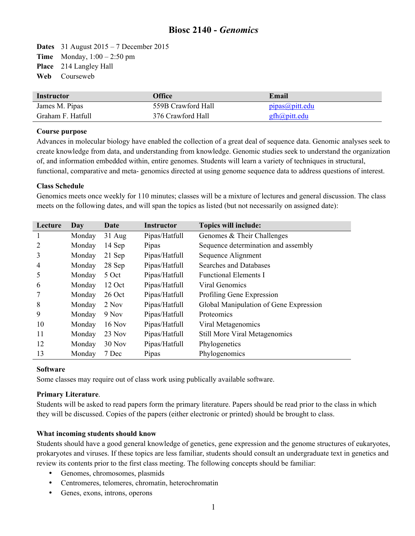# **Biosc 2140 -** *Genomics*

**Dates** 31 August 2015 – 7 December 2015 **Time** Monday, 1:00 – 2:50 pm **Place** 214 Langley Hall **Web** Courseweb

| Instructor        | <b>Office</b>      | Email               |
|-------------------|--------------------|---------------------|
| James M. Pipas    | 559B Crawford Hall | pipas(a)pitt.edu    |
| Graham F. Hatfull | 376 Crawford Hall  | <u>gfh@pitt.edu</u> |

#### **Course purpose**

Advances in molecular biology have enabled the collection of a great deal of sequence data. Genomic analyses seek to create knowledge from data, and understanding from knowledge. Genomic studies seek to understand the organization of, and information embedded within, entire genomes. Students will learn a variety of techniques in structural, functional, comparative and meta- genomics directed at using genome sequence data to address questions of interest.

## **Class Schedule**

Genomics meets once weekly for 110 minutes; classes will be a mixture of lectures and general discussion. The class meets on the following dates, and will span the topics as listed (but not necessarily on assigned date):

| Lecture | Day    | Date          | <b>Instructor</b> | <b>Topics will include:</b>            |
|---------|--------|---------------|-------------------|----------------------------------------|
|         | Monday | $31$ Aug      | Pipas/Hatfull     | Genomes & Their Challenges             |
|         | Monday | 14 Sep        | Pipas             | Sequence determination and assembly    |
| 3       | Monday | 21 Sep        | Pipas/Hatfull     | Sequence Alignment                     |
| 4       | Monday | 28 Sep        | Pipas/Hatfull     | Searches and Databases                 |
| 5       | Monday | 5 Oct         | Pipas/Hatfull     | <b>Functional Elements I</b>           |
| 6       | Monday | 12 Oct        | Pipas/Hatfull     | Viral Genomics                         |
|         | Monday | 26 Oct        | Pipas/Hatfull     | Profiling Gene Expression              |
| 8       | Monday | 2 Nov         | Pipas/Hatfull     | Global Manipulation of Gene Expression |
| 9       | Monday | 9 Nov         | Pipas/Hatfull     | Proteomics                             |
| 10      | Monday | <b>16 Nov</b> | Pipas/Hatfull     | Viral Metagenomics                     |
| 11      | Monday | $23$ Nov      | Pipas/Hatfull     | <b>Still More Viral Metagenomics</b>   |
| 12      | Monday | 30 Nov        | Pipas/Hatfull     | Phylogenetics                          |
| 13      | Monday | 7 Dec         | Pipas             | Phylogenomics                          |

#### **Software**

Some classes may require out of class work using publically available software.

# **Primary Literature**.

Students will be asked to read papers form the primary literature. Papers should be read prior to the class in which they will be discussed. Copies of the papers (either electronic or printed) should be brought to class.

# **What incoming students should know**

Students should have a good general knowledge of genetics, gene expression and the genome structures of eukaryotes, prokaryotes and viruses. If these topics are less familiar, students should consult an undergraduate text in genetics and review its contents prior to the first class meeting. The following concepts should be familiar:

- Genomes, chromosomes, plasmids
- Centromeres, telomeres, chromatin, heterochromatin
- Genes, exons, introns, operons